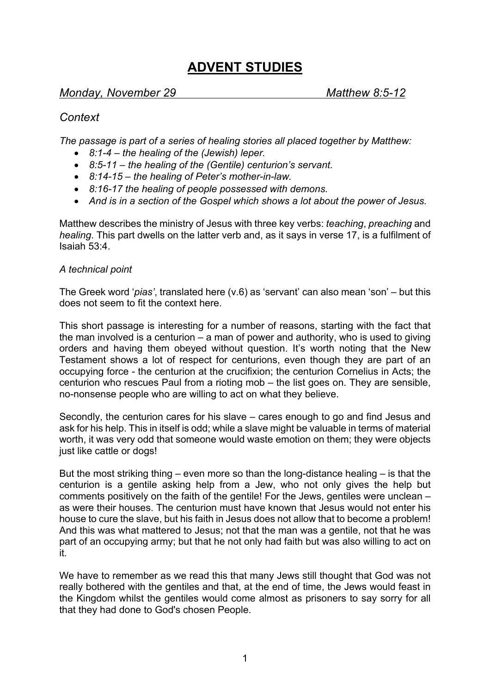# **ADVENT STUDIES**

## *Monday, November 29 Matthew 8:5-12*

## *Context*

*The passage is part of a series of healing stories all placed together by Matthew:*

- *8:1-4 – the healing of the (Jewish) leper.*
- *8:5-11 – the healing of the (Gentile) centurion's servant.*
- *8:14-15 – the healing of Peter's mother-in-law.*
- *8:16-17 the healing of people possessed with demons.*
- *And is in a section of the Gospel which shows a lot about the power of Jesus.*

Matthew describes the ministry of Jesus with three key verbs: *teaching*, *preaching* and *healing*. This part dwells on the latter verb and, as it says in verse 17, is a fulfilment of Isaiah 53:4.

### *A technical point*

The Greek word '*pias'*, translated here (v.6) as 'servant' can also mean 'son' – but this does not seem to fit the context here.

This short passage is interesting for a number of reasons, starting with the fact that the man involved is a centurion – a man of power and authority, who is used to giving orders and having them obeyed without question. It's worth noting that the New Testament shows a lot of respect for centurions, even though they are part of an occupying force - the centurion at the crucifixion; the centurion Cornelius in Acts; the centurion who rescues Paul from a rioting mob – the list goes on. They are sensible, no-nonsense people who are willing to act on what they believe.

Secondly, the centurion cares for his slave – cares enough to go and find Jesus and ask for his help. This in itself is odd; while a slave might be valuable in terms of material worth, it was very odd that someone would waste emotion on them; they were objects just like cattle or dogs!

But the most striking thing – even more so than the long-distance healing – is that the centurion is a gentile asking help from a Jew, who not only gives the help but comments positively on the faith of the gentile! For the Jews, gentiles were unclean – as were their houses. The centurion must have known that Jesus would not enter his house to cure the slave, but his faith in Jesus does not allow that to become a problem! And this was what mattered to Jesus; not that the man was a gentile, not that he was part of an occupying army; but that he not only had faith but was also willing to act on it.

We have to remember as we read this that many Jews still thought that God was not really bothered with the gentiles and that, at the end of time, the Jews would feast in the Kingdom whilst the gentiles would come almost as prisoners to say sorry for all that they had done to God's chosen People.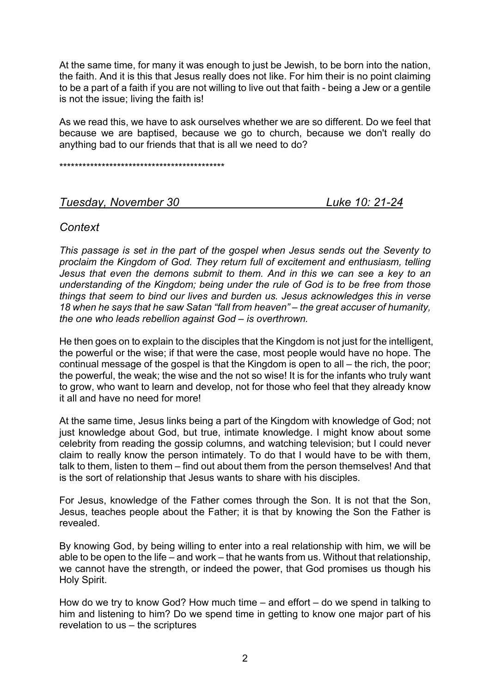At the same time, for many it was enough to just be Jewish, to be born into the nation, the faith. And it is this that Jesus really does not like. For him their is no point claiming to be a part of a faith if you are not willing to live out that faith - being a Jew or a gentile is not the issue; living the faith is!

As we read this, we have to ask ourselves whether we are so different. Do we feel that because we are baptised, because we go to church, because we don't really do anything bad to our friends that that is all we need to do?

\*\*\*\*\*\*\*\*\*\*\*\*\*\*\*\*\*\*\*\*\*\*\*\*\*\*\*\*\*\*\*\*\*\*\*\*\*\*\*\*\*\*\*

### *Tuesday, November 30 Luke 10: 21-24*

## *Context*

*This passage is set in the part of the gospel when Jesus sends out the Seventy to proclaim the Kingdom of God. They return full of excitement and enthusiasm, telling Jesus that even the demons submit to them. And in this we can see a key to an understanding of the Kingdom; being under the rule of God is to be free from those things that seem to bind our lives and burden us. Jesus acknowledges this in verse 18 when he says that he saw Satan "fall from heaven" – the great accuser of humanity, the one who leads rebellion against God – is overthrown.*

He then goes on to explain to the disciples that the Kingdom is not just for the intelligent, the powerful or the wise; if that were the case, most people would have no hope. The continual message of the gospel is that the Kingdom is open to all – the rich, the poor; the powerful, the weak; the wise and the not so wise! It is for the infants who truly want to grow, who want to learn and develop, not for those who feel that they already know it all and have no need for more!

At the same time, Jesus links being a part of the Kingdom with knowledge of God; not just knowledge about God, but true, intimate knowledge. I might know about some celebrity from reading the gossip columns, and watching television; but I could never claim to really know the person intimately. To do that I would have to be with them, talk to them, listen to them – find out about them from the person themselves! And that is the sort of relationship that Jesus wants to share with his disciples.

For Jesus, knowledge of the Father comes through the Son. It is not that the Son, Jesus, teaches people about the Father; it is that by knowing the Son the Father is revealed.

By knowing God, by being willing to enter into a real relationship with him, we will be able to be open to the life – and work – that he wants from us. Without that relationship, we cannot have the strength, or indeed the power, that God promises us though his Holy Spirit.

How do we try to know God? How much time – and effort – do we spend in talking to him and listening to him? Do we spend time in getting to know one major part of his revelation to us – the scriptures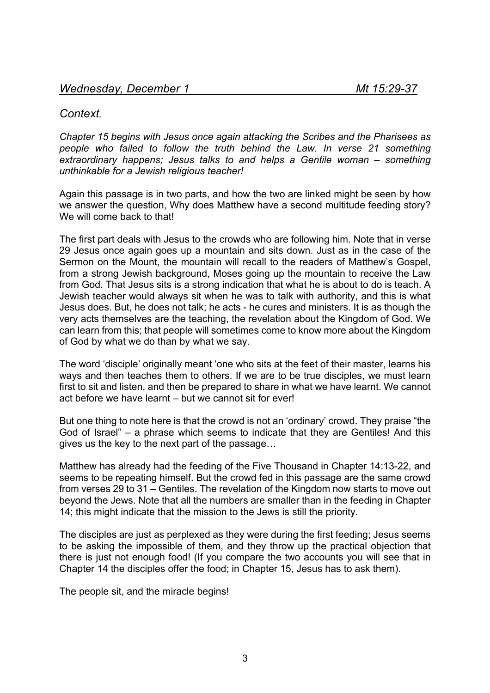## *Context.*

*Chapter 15 begins with Jesus once again attacking the Scribes and the Pharisees as people who failed to follow the truth behind the Law. In verse 21 something extraordinary happens; Jesus talks to and helps a Gentile woman – something unthinkable for a Jewish religious teacher!*

Again this passage is in two parts, and how the two are linked might be seen by how we answer the question, Why does Matthew have a second multitude feeding story? We will come back to that!

The first part deals with Jesus to the crowds who are following him. Note that in verse 29 Jesus once again goes up a mountain and sits down. Just as in the case of the Sermon on the Mount, the mountain will recall to the readers of Matthew's Gospel, from a strong Jewish background, Moses going up the mountain to receive the Law from God. That Jesus sits is a strong indication that what he is about to do is teach. A Jewish teacher would always sit when he was to talk with authority, and this is what Jesus does. But, he does not talk; he acts - he cures and ministers. It is as though the very acts themselves are the teaching, the revelation about the Kingdom of God. We can learn from this; that people will sometimes come to know more about the Kingdom of God by what we do than by what we say.

The word 'disciple' originally meant 'one who sits at the feet of their master, learns his ways and then teaches them to others. If we are to be true disciples, we must learn first to sit and listen, and then be prepared to share in what we have learnt. We cannot act before we have learnt – but we cannot sit for ever!

But one thing to note here is that the crowd is not an 'ordinary' crowd. They praise "the God of Israel" – a phrase which seems to indicate that they are Gentiles! And this gives us the key to the next part of the passage…

Matthew has already had the feeding of the Five Thousand in Chapter 14:13-22, and seems to be repeating himself. But the crowd fed in this passage are the same crowd from verses 29 to 31 – Gentiles. The revelation of the Kingdom now starts to move out beyond the Jews. Note that all the numbers are smaller than in the feeding in Chapter 14; this might indicate that the mission to the Jews is still the priority.

The disciples are just as perplexed as they were during the first feeding; Jesus seems to be asking the impossible of them, and they throw up the practical objection that there is just not enough food! (If you compare the two accounts you will see that in Chapter 14 the disciples offer the food; in Chapter 15, Jesus has to ask them).

The people sit, and the miracle begins!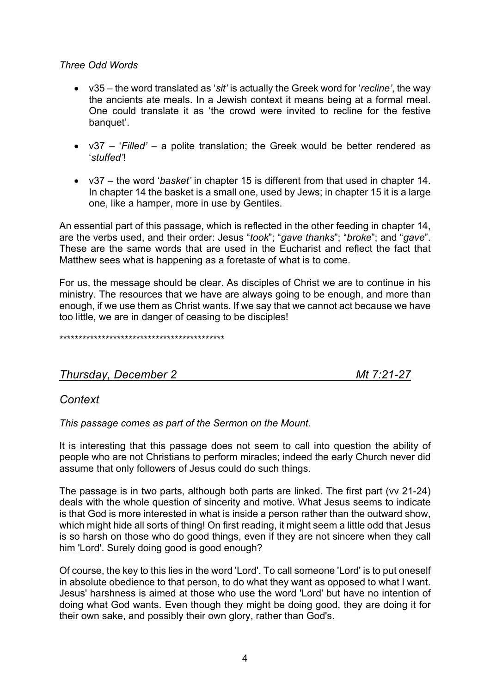### *Three Odd Words*

- v35 the word translated as '*sit'* is actually the Greek word for '*recline'*, the way the ancients ate meals. In a Jewish context it means being at a formal meal. One could translate it as 'the crowd were invited to recline for the festive banquet'.
- v37 '*Filled'* a polite translation; the Greek would be better rendered as '*stuffed'*!
- v37 the word '*basket'* in chapter 15 is different from that used in chapter 14. In chapter 14 the basket is a small one, used by Jews; in chapter 15 it is a large one, like a hamper, more in use by Gentiles.

An essential part of this passage, which is reflected in the other feeding in chapter 14, are the verbs used, and their order: Jesus "*took*"; "*gave thanks*"; "*broke*"; and "*gave*". These are the same words that are used in the Eucharist and reflect the fact that Matthew sees what is happening as a foretaste of what is to come.

For us, the message should be clear. As disciples of Christ we are to continue in his ministry. The resources that we have are always going to be enough, and more than enough, if we use them as Christ wants. If we say that we cannot act because we have too little, we are in danger of ceasing to be disciples!

\*\*\*\*\*\*\*\*\*\*\*\*\*\*\*\*\*\*\*\*\*\*\*\*\*\*\*\*\*\*\*\*\*\*\*\*\*\*\*\*\*\*\*

*Thursday, December 2 Mt 7:21-27*

## *Context*

*This passage comes as part of the Sermon on the Mount.*

It is interesting that this passage does not seem to call into question the ability of people who are not Christians to perform miracles; indeed the early Church never did assume that only followers of Jesus could do such things.

The passage is in two parts, although both parts are linked. The first part (vv 21-24) deals with the whole question of sincerity and motive. What Jesus seems to indicate is that God is more interested in what is inside a person rather than the outward show, which might hide all sorts of thing! On first reading, it might seem a little odd that Jesus is so harsh on those who do good things, even if they are not sincere when they call him 'Lord'. Surely doing good is good enough?

Of course, the key to this lies in the word 'Lord'. To call someone 'Lord' is to put oneself in absolute obedience to that person, to do what they want as opposed to what I want. Jesus' harshness is aimed at those who use the word 'Lord' but have no intention of doing what God wants. Even though they might be doing good, they are doing it for their own sake, and possibly their own glory, rather than God's.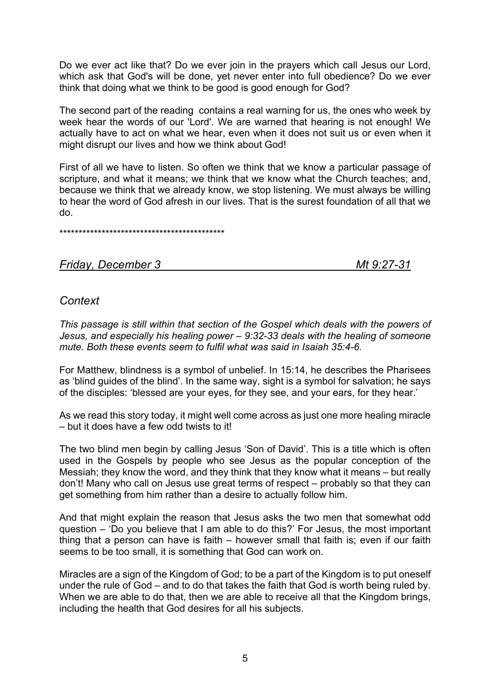Do we ever act like that? Do we ever join in the prayers which call Jesus our Lord, which ask that God's will be done, yet never enter into full obedience? Do we ever think that doing what we think to be good is good enough for God?

The second part of the reading contains a real warning for us, the ones who week by week hear the words of our 'Lord'. We are warned that hearing is not enough! We actually have to act on what we hear, even when it does not suit us or even when it might disrupt our lives and how we think about God!

First of all we have to listen. So often we think that we know a particular passage of scripture, and what it means; we think that we know what the Church teaches; and, because we think that we already know, we stop listening. We must always be willing to hear the word of God afresh in our lives. That is the surest foundation of all that we do.

\*\*\*\*\*\*\*\*\*\*\*\*\*\*\*\*\*\*\*\*\*\*\*\*\*\*\*\*\*\*\*\*\*\*\*\*\*\*\*\*\*\*\*

## *Friday, December 3 Mt 9:27-31*

## *Context*

*This passage is still within that section of the Gospel which deals with the powers of Jesus, and especially his healing power – 9:32-33 deals with the healing of someone mute. Both these events seem to fulfil what was said in Isaiah 35:4-6.*

For Matthew, blindness is a symbol of unbelief. In 15:14, he describes the Pharisees as 'blind guides of the blind'. In the same way, sight is a symbol for salvation; he says of the disciples: 'blessed are your eyes, for they see, and your ears, for they hear.'

As we read this story today, it might well come across as just one more healing miracle – but it does have a few odd twists to it!

The two blind men begin by calling Jesus 'Son of David'. This is a title which is often used in the Gospels by people who see Jesus as the popular conception of the Messiah; they know the word, and they think that they know what it means – but really don't! Many who call on Jesus use great terms of respect – probably so that they can get something from him rather than a desire to actually follow him.

And that might explain the reason that Jesus asks the two men that somewhat odd question – 'Do you believe that I am able to do this?' For Jesus, the most important thing that a person can have is faith – however small that faith is; even if our faith seems to be too small, it is something that God can work on.

Miracles are a sign of the Kingdom of God; to be a part of the Kingdom is to put oneself under the rule of God – and to do that takes the faith that God is worth being ruled by. When we are able to do that, then we are able to receive all that the Kingdom brings, including the health that God desires for all his subjects.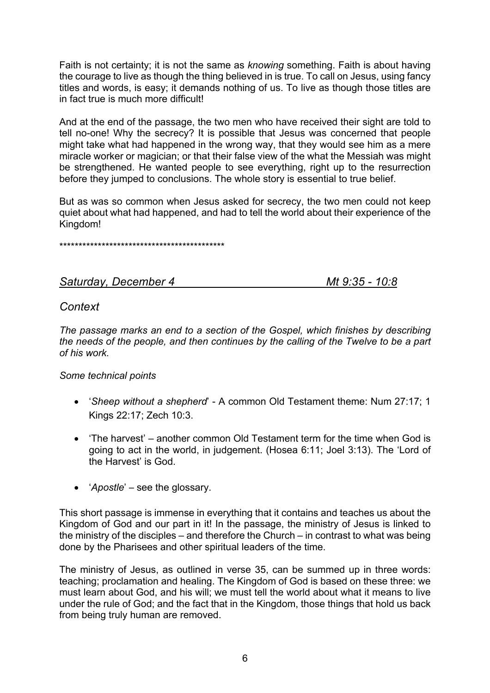Faith is not certainty; it is not the same as *knowing* something. Faith is about having the courage to live as though the thing believed in is true. To call on Jesus, using fancy titles and words, is easy; it demands nothing of us. To live as though those titles are in fact true is much more difficult!

And at the end of the passage, the two men who have received their sight are told to tell no-one! Why the secrecy? It is possible that Jesus was concerned that people might take what had happened in the wrong way, that they would see him as a mere miracle worker or magician; or that their false view of the what the Messiah was might be strengthened. He wanted people to see everything, right up to the resurrection before they jumped to conclusions. The whole story is essential to true belief.

But as was so common when Jesus asked for secrecy, the two men could not keep quiet about what had happened, and had to tell the world about their experience of the Kingdom!

\*\*\*\*\*\*\*\*\*\*\*\*\*\*\*\*\*\*\*\*\*\*\*\*\*\*\*\*\*\*\*\*\*\*\*\*\*\*\*\*\*\*\*

## *Saturday, December 4 Mt 9:35 - 10:8*

## *Context*

*The passage marks an end to a section of the Gospel, which finishes by describing the needs of the people, and then continues by the calling of the Twelve to be a part of his work.*

## *Some technical points*

- !*Sheep without a shepherd*" A common Old Testament theme: Num 27:17; 1 Kings 22:17; Zech 10:3.
- 'The harvest' another common Old Testament term for the time when God is going to act in the world, in judgement. (Hosea 6:11; Joel 3:13). The 'Lord of the Harvest' is God.
- *'Apostle'* see the glossary.

This short passage is immense in everything that it contains and teaches us about the Kingdom of God and our part in it! In the passage, the ministry of Jesus is linked to the ministry of the disciples – and therefore the Church – in contrast to what was being done by the Pharisees and other spiritual leaders of the time.

The ministry of Jesus, as outlined in verse 35, can be summed up in three words: teaching; proclamation and healing. The Kingdom of God is based on these three: we must learn about God, and his will; we must tell the world about what it means to live under the rule of God; and the fact that in the Kingdom, those things that hold us back from being truly human are removed.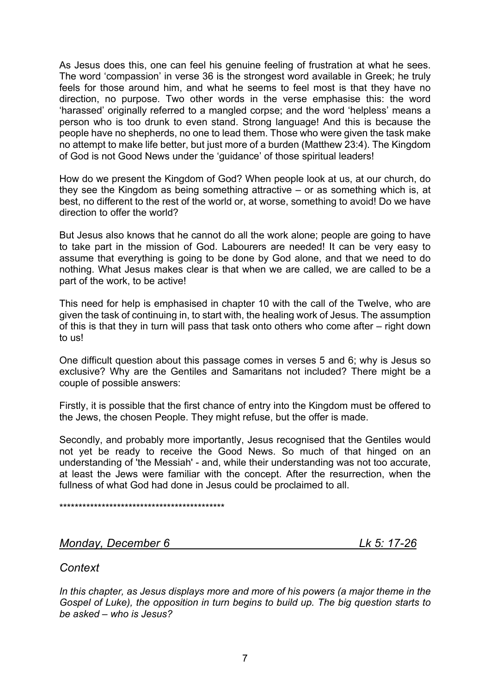As Jesus does this, one can feel his genuine feeling of frustration at what he sees. The word 'compassion' in verse 36 is the strongest word available in Greek; he truly feels for those around him, and what he seems to feel most is that they have no direction, no purpose. Two other words in the verse emphasise this: the word 'harassed' originally referred to a mangled corpse; and the word 'helpless' means a person who is too drunk to even stand. Strong language! And this is because the people have no shepherds, no one to lead them. Those who were given the task make no attempt to make life better, but just more of a burden (Matthew 23:4). The Kingdom of God is not Good News under the 'guidance' of those spiritual leaders!

How do we present the Kingdom of God? When people look at us, at our church, do they see the Kingdom as being something attractive – or as something which is, at best, no different to the rest of the world or, at worse, something to avoid! Do we have direction to offer the world?

But Jesus also knows that he cannot do all the work alone; people are going to have to take part in the mission of God. Labourers are needed! It can be very easy to assume that everything is going to be done by God alone, and that we need to do nothing. What Jesus makes clear is that when we are called, we are called to be a part of the work, to be active!

This need for help is emphasised in chapter 10 with the call of the Twelve, who are given the task of continuing in, to start with, the healing work of Jesus. The assumption of this is that they in turn will pass that task onto others who come after – right down to us!

One difficult question about this passage comes in verses 5 and 6; why is Jesus so exclusive? Why are the Gentiles and Samaritans not included? There might be a couple of possible answers:

Firstly, it is possible that the first chance of entry into the Kingdom must be offered to the Jews, the chosen People. They might refuse, but the offer is made.

Secondly, and probably more importantly, Jesus recognised that the Gentiles would not yet be ready to receive the Good News. So much of that hinged on an understanding of 'the Messiah' - and, while their understanding was not too accurate, at least the Jews were familiar with the concept. After the resurrection, when the fullness of what God had done in Jesus could be proclaimed to all.

\*\*\*\*\*\*\*\*\*\*\*\*\*\*\*\*\*\*\*\*\*\*\*\*\*\*\*\*\*\*\*\*\*\*\*\*\*\*\*\*\*\*\*

## *Monday, December 6 Lk 5: 17-26*

## *Context*

*In this chapter, as Jesus displays more and more of his powers (a major theme in the Gospel of Luke), the opposition in turn begins to build up. The big question starts to be asked – who is Jesus?*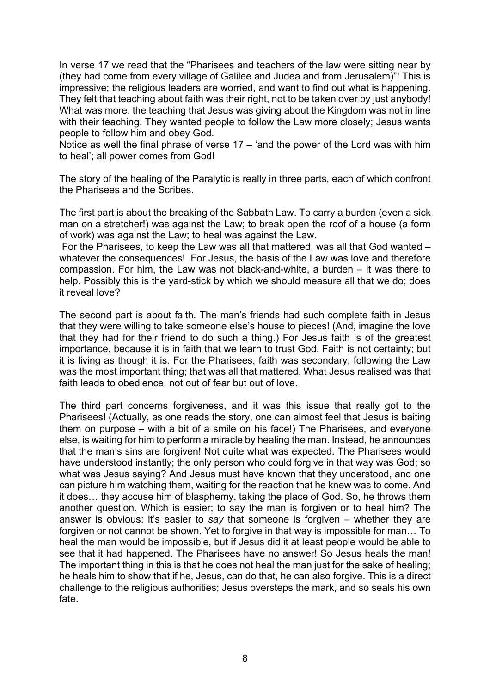In verse 17 we read that the "Pharisees and teachers of the law were sitting near by (they had come from every village of Galilee and Judea and from Jerusalem)"! This is impressive; the religious leaders are worried, and want to find out what is happening. They felt that teaching about faith was their right, not to be taken over by just anybody! What was more, the teaching that Jesus was giving about the Kingdom was not in line with their teaching. They wanted people to follow the Law more closely; Jesus wants people to follow him and obey God.

Notice as well the final phrase of verse  $17 - 4$  and the power of the Lord was with him to heal'; all power comes from God!

The story of the healing of the Paralytic is really in three parts, each of which confront the Pharisees and the Scribes.

The first part is about the breaking of the Sabbath Law. To carry a burden (even a sick man on a stretcher!) was against the Law; to break open the roof of a house (a form of work) was against the Law; to heal was against the Law.

For the Pharisees, to keep the Law was all that mattered, was all that God wanted – whatever the consequences! For Jesus, the basis of the Law was love and therefore compassion. For him, the Law was not black-and-white, a burden – it was there to help. Possibly this is the yard-stick by which we should measure all that we do; does it reveal love?

The second part is about faith. The man's friends had such complete faith in Jesus that they were willing to take someone else's house to pieces! (And, imagine the love that they had for their friend to do such a thing.) For Jesus faith is of the greatest importance, because it is in faith that we learn to trust God. Faith is not certainty; but it is living as though it is. For the Pharisees, faith was secondary; following the Law was the most important thing; that was all that mattered. What Jesus realised was that faith leads to obedience, not out of fear but out of love.

The third part concerns forgiveness, and it was this issue that really got to the Pharisees! (Actually, as one reads the story, one can almost feel that Jesus is baiting them on purpose – with a bit of a smile on his face!) The Pharisees, and everyone else, is waiting for him to perform a miracle by healing the man. Instead, he announces that the man's sins are forgiven! Not quite what was expected. The Pharisees would have understood instantly; the only person who could forgive in that way was God; so what was Jesus saying? And Jesus must have known that they understood, and one can picture him watching them, waiting for the reaction that he knew was to come. And it does… they accuse him of blasphemy, taking the place of God. So, he throws them another question. Which is easier; to say the man is forgiven or to heal him? The answer is obvious: it's easier to *say* that someone is forgiven – whether they are forgiven or not cannot be shown. Yet to forgive in that way is impossible for man… To heal the man would be impossible, but if Jesus did it at least people would be able to see that it had happened. The Pharisees have no answer! So Jesus heals the man! The important thing in this is that he does not heal the man just for the sake of healing; he heals him to show that if he, Jesus, can do that, he can also forgive. This is a direct challenge to the religious authorities; Jesus oversteps the mark, and so seals his own fate.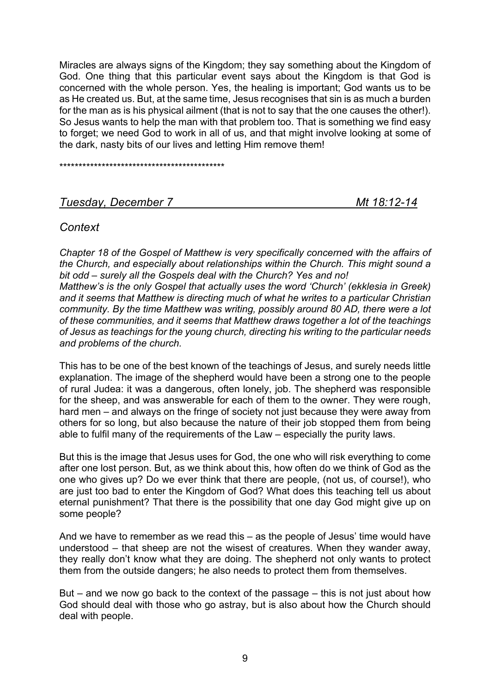Miracles are always signs of the Kingdom; they say something about the Kingdom of God. One thing that this particular event says about the Kingdom is that God is concerned with the whole person. Yes, the healing is important; God wants us to be as He created us. But, at the same time, Jesus recognises that sin is as much a burden for the man as is his physical ailment (that is not to say that the one causes the other!). So Jesus wants to help the man with that problem too. That is something we find easy to forget; we need God to work in all of us, and that might involve looking at some of the dark, nasty bits of our lives and letting Him remove them!

\*\*\*\*\*\*\*\*\*\*\*\*\*\*\*\*\*\*\*\*\*\*\*\*\*\*\*\*\*\*\*\*\*\*\*\*\*\*\*\*\*\*\*

## *Tuesday, December 7 Mt 18:12-14*

## *Context*

*Chapter 18 of the Gospel of Matthew is very specifically concerned with the affairs of the Church, and especially about relationships within the Church. This might sound a bit odd – surely all the Gospels deal with the Church? Yes and no! Matthew's is the only Gospel that actually uses the word 'Church' (ekklesia in Greek) and it seems that Matthew is directing much of what he writes to a particular Christian community. By the time Matthew was writing, possibly around 80 AD, there were a lot of these communities, and it seems that Matthew draws together a lot of the teachings of Jesus as teachings for the young church, directing his writing to the particular needs and problems of the church.*

This has to be one of the best known of the teachings of Jesus, and surely needs little explanation. The image of the shepherd would have been a strong one to the people of rural Judea: it was a dangerous, often lonely, job. The shepherd was responsible for the sheep, and was answerable for each of them to the owner. They were rough, hard men – and always on the fringe of society not just because they were away from others for so long, but also because the nature of their job stopped them from being able to fulfil many of the requirements of the Law – especially the purity laws.

But this is the image that Jesus uses for God, the one who will risk everything to come after one lost person. But, as we think about this, how often do we think of God as the one who gives up? Do we ever think that there are people, (not us, of course!), who are just too bad to enter the Kingdom of God? What does this teaching tell us about eternal punishment? That there is the possibility that one day God might give up on some people?

And we have to remember as we read this – as the people of Jesus' time would have understood – that sheep are not the wisest of creatures. When they wander away, they really don't know what they are doing. The shepherd not only wants to protect them from the outside dangers; he also needs to protect them from themselves.

But – and we now go back to the context of the passage – this is not just about how God should deal with those who go astray, but is also about how the Church should deal with people.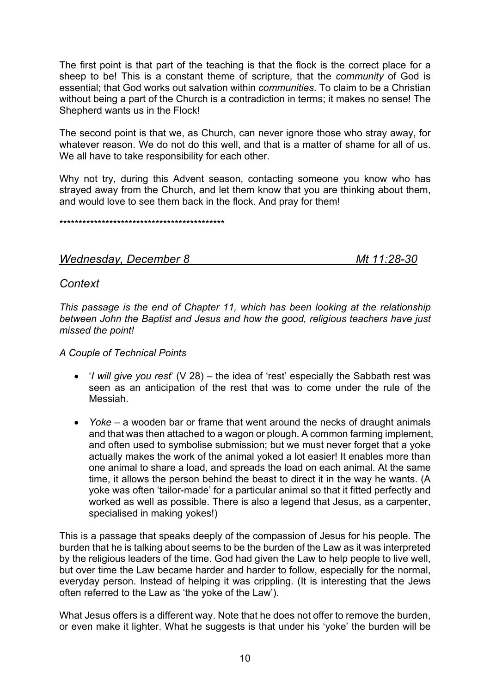The first point is that part of the teaching is that the flock is the correct place for a sheep to be! This is a constant theme of scripture, that the *community* of God is essential; that God works out salvation within *communities*. To claim to be a Christian without being a part of the Church is a contradiction in terms; it makes no sense! The Shepherd wants us in the Flock!

The second point is that we, as Church, can never ignore those who stray away, for whatever reason. We do not do this well, and that is a matter of shame for all of us. We all have to take responsibility for each other.

Why not try, during this Advent season, contacting someone you know who has strayed away from the Church, and let them know that you are thinking about them, and would love to see them back in the flock. And pray for them!

\*\*\*\*\*\*\*\*\*\*\*\*\*\*\*\*\*\*\*\*\*\*\*\*\*\*\*\*\*\*\*\*\*\*\*\*\*\*\*\*\*\*\*

## *Wednesday, December 8 Mt 11:28-30*

## *Context*

*This passage is the end of Chapter 11, which has been looking at the relationship between John the Baptist and Jesus and how the good, religious teachers have just missed the point!*

## *A Couple of Technical Points*

- '*I will give you rest*' (V 28) the idea of 'rest' especially the Sabbath rest was seen as an anticipation of the rest that was to come under the rule of the Messiah.
- *Yoke* a wooden bar or frame that went around the necks of draught animals and that was then attached to a wagon or plough. A common farming implement, and often used to symbolise submission; but we must never forget that a yoke actually makes the work of the animal yoked a lot easier! It enables more than one animal to share a load, and spreads the load on each animal. At the same time, it allows the person behind the beast to direct it in the way he wants. (A yoke was often 'tailor-made' for a particular animal so that it fitted perfectly and worked as well as possible. There is also a legend that Jesus, as a carpenter, specialised in making yokes!)

This is a passage that speaks deeply of the compassion of Jesus for his people. The burden that he is talking about seems to be the burden of the Law as it was interpreted by the religious leaders of the time. God had given the Law to help people to live well, but over time the Law became harder and harder to follow, especially for the normal, everyday person. Instead of helping it was crippling. (It is interesting that the Jews often referred to the Law as 'the yoke of the Law').

What Jesus offers is a different way. Note that he does not offer to remove the burden, or even make it lighter. What he suggests is that under his 'yoke' the burden will be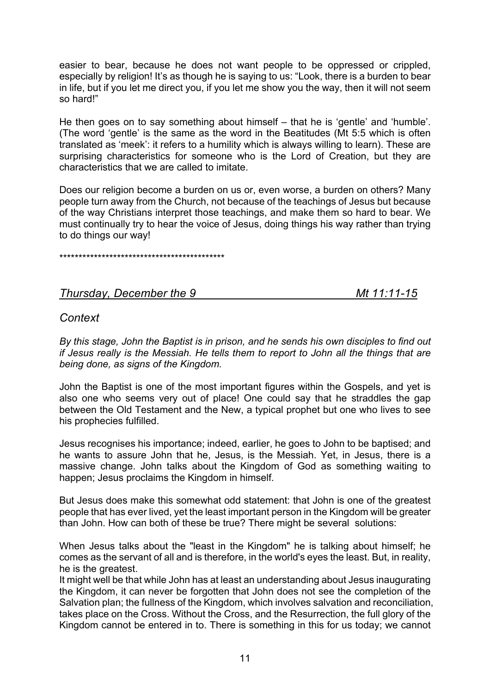easier to bear, because he does not want people to be oppressed or crippled, especially by religion! It's as though he is saying to us: "Look, there is a burden to bear in life, but if you let me direct you, if you let me show you the way, then it will not seem so hard!"

He then goes on to say something about himself – that he is 'gentle' and 'humble'. (The word 'gentle' is the same as the word in the Beatitudes (Mt 5:5 which is often translated as 'meek': it refers to a humility which is always willing to learn). These are surprising characteristics for someone who is the Lord of Creation, but they are characteristics that we are called to imitate.

Does our religion become a burden on us or, even worse, a burden on others? Many people turn away from the Church, not because of the teachings of Jesus but because of the way Christians interpret those teachings, and make them so hard to bear. We must continually try to hear the voice of Jesus, doing things his way rather than trying to do things our way!

\*\*\*\*\*\*\*\*\*\*\*\*\*\*\*\*\*\*\*\*\*\*\*\*\*\*\*\*\*\*\*\*\*\*\*\*\*\*\*\*\*\*\*

## *Thursday, December the 9 Mt 11:11-15*

## *Context*

*By this stage, John the Baptist is in prison, and he sends his own disciples to find out if Jesus really is the Messiah. He tells them to report to John all the things that are being done, as signs of the Kingdom.*

John the Baptist is one of the most important figures within the Gospels, and yet is also one who seems very out of place! One could say that he straddles the gap between the Old Testament and the New, a typical prophet but one who lives to see his prophecies fulfilled.

Jesus recognises his importance; indeed, earlier, he goes to John to be baptised; and he wants to assure John that he, Jesus, is the Messiah. Yet, in Jesus, there is a massive change. John talks about the Kingdom of God as something waiting to happen; Jesus proclaims the Kingdom in himself.

But Jesus does make this somewhat odd statement: that John is one of the greatest people that has ever lived, yet the least important person in the Kingdom will be greater than John. How can both of these be true? There might be several solutions:

When Jesus talks about the "least in the Kingdom" he is talking about himself; he comes as the servant of all and is therefore, in the world's eyes the least. But, in reality, he is the greatest.

It might well be that while John has at least an understanding about Jesus inaugurating the Kingdom, it can never be forgotten that John does not see the completion of the Salvation plan; the fullness of the Kingdom, which involves salvation and reconciliation, takes place on the Cross. Without the Cross, and the Resurrection, the full glory of the Kingdom cannot be entered in to. There is something in this for us today; we cannot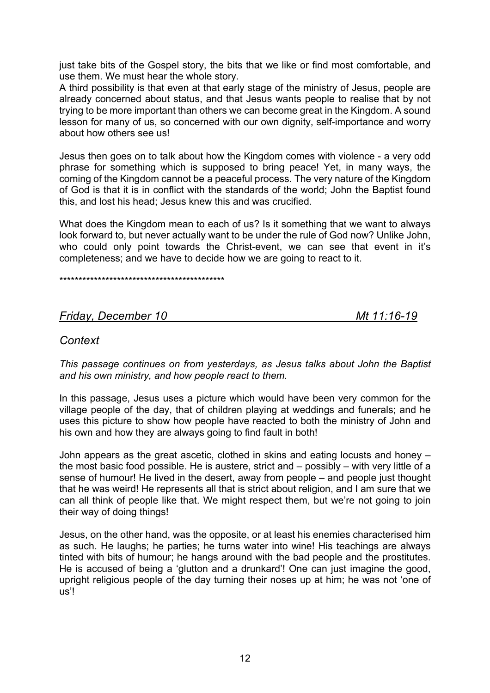just take bits of the Gospel story, the bits that we like or find most comfortable, and use them. We must hear the whole story.

A third possibility is that even at that early stage of the ministry of Jesus, people are already concerned about status, and that Jesus wants people to realise that by not trying to be more important than others we can become great in the Kingdom. A sound lesson for many of us, so concerned with our own dignity, self-importance and worry about how others see us!

Jesus then goes on to talk about how the Kingdom comes with violence - a very odd phrase for something which is supposed to bring peace! Yet, in many ways, the coming of the Kingdom cannot be a peaceful process. The very nature of the Kingdom of God is that it is in conflict with the standards of the world; John the Baptist found this, and lost his head; Jesus knew this and was crucified.

What does the Kingdom mean to each of us? Is it something that we want to always look forward to, but never actually want to be under the rule of God now? Unlike John, who could only point towards the Christ-event, we can see that event in it's completeness; and we have to decide how we are going to react to it.

\*\*\*\*\*\*\*\*\*\*\*\*\*\*\*\*\*\*\*\*\*\*\*\*\*\*\*\*\*\*\*\*\*\*\*\*\*\*\*\*\*\*\*

## *Friday, December 10 Mt 11:16-19*

## *Context*

*This passage continues on from yesterdays, as Jesus talks about John the Baptist and his own ministry, and how people react to them.*

In this passage, Jesus uses a picture which would have been very common for the village people of the day, that of children playing at weddings and funerals; and he uses this picture to show how people have reacted to both the ministry of John and his own and how they are always going to find fault in both!

John appears as the great ascetic, clothed in skins and eating locusts and honey – the most basic food possible. He is austere, strict and – possibly – with very little of a sense of humour! He lived in the desert, away from people – and people just thought that he was weird! He represents all that is strict about religion, and I am sure that we can all think of people like that. We might respect them, but we're not going to join their way of doing things!

Jesus, on the other hand, was the opposite, or at least his enemies characterised him as such. He laughs; he parties; he turns water into wine! His teachings are always tinted with bits of humour; he hangs around with the bad people and the prostitutes. He is accused of being a 'glutton and a drunkard'! One can just imagine the good, upright religious people of the day turning their noses up at him; he was not 'one of us'!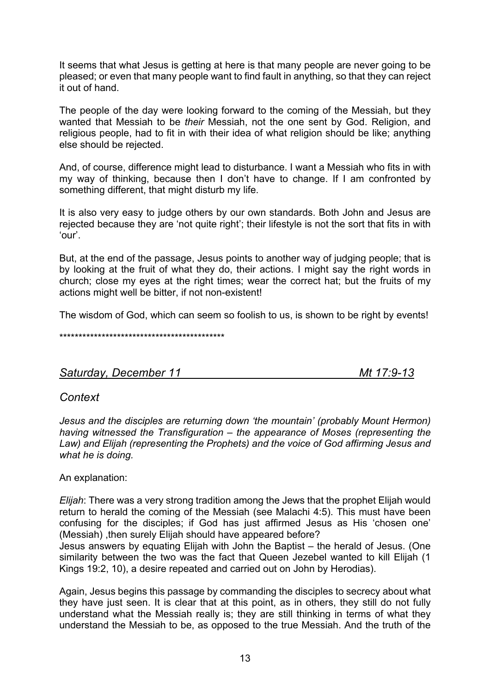It seems that what Jesus is getting at here is that many people are never going to be pleased; or even that many people want to find fault in anything, so that they can reject it out of hand.

The people of the day were looking forward to the coming of the Messiah, but they wanted that Messiah to be *their* Messiah, not the one sent by God. Religion, and religious people, had to fit in with their idea of what religion should be like; anything else should be rejected.

And, of course, difference might lead to disturbance. I want a Messiah who fits in with my way of thinking, because then I don't have to change. If I am confronted by something different, that might disturb my life.

It is also very easy to judge others by our own standards. Both John and Jesus are rejected because they are 'not quite right'; their lifestyle is not the sort that fits in with 'our'.

But, at the end of the passage, Jesus points to another way of judging people; that is by looking at the fruit of what they do, their actions. I might say the right words in church; close my eyes at the right times; wear the correct hat; but the fruits of my actions might well be bitter, if not non-existent!

The wisdom of God, which can seem so foolish to us, is shown to be right by events!

\*\*\*\*\*\*\*\*\*\*\*\*\*\*\*\*\*\*\*\*\*\*\*\*\*\*\*\*\*\*\*\*\*\*\*\*\*\*\*\*\*\*\*

*Saturday, December 11 Mt 17:9-13*

## *Context*

*Jesus and the disciples are returning down 'the mountain' (probably Mount Hermon) having witnessed the Transfiguration – the appearance of Moses (representing the Law) and Elijah (representing the Prophets) and the voice of God affirming Jesus and what he is doing.*

An explanation:

*Elijah*: There was a very strong tradition among the Jews that the prophet Elijah would return to herald the coming of the Messiah (see Malachi 4:5). This must have been confusing for the disciples; if God has just affirmed Jesus as His 'chosen one' (Messiah), then surely Elijah should have appeared before?

Jesus answers by equating Elijah with John the Baptist – the herald of Jesus. (One similarity between the two was the fact that Queen Jezebel wanted to kill Elijah (1 Kings 19:2, 10), a desire repeated and carried out on John by Herodias).

Again, Jesus begins this passage by commanding the disciples to secrecy about what they have just seen. It is clear that at this point, as in others, they still do not fully understand what the Messiah really is; they are still thinking in terms of what they understand the Messiah to be, as opposed to the true Messiah. And the truth of the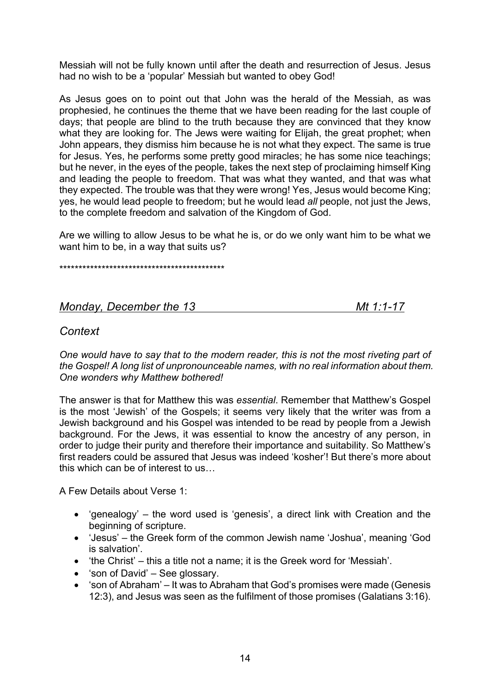Messiah will not be fully known until after the death and resurrection of Jesus. Jesus had no wish to be a 'popular' Messiah but wanted to obey God!

As Jesus goes on to point out that John was the herald of the Messiah, as was prophesied, he continues the theme that we have been reading for the last couple of days; that people are blind to the truth because they are convinced that they know what they are looking for. The Jews were waiting for Elijah, the great prophet; when John appears, they dismiss him because he is not what they expect. The same is true for Jesus. Yes, he performs some pretty good miracles; he has some nice teachings; but he never, in the eyes of the people, takes the next step of proclaiming himself King and leading the people to freedom. That was what they wanted, and that was what they expected. The trouble was that they were wrong! Yes, Jesus would become King; yes, he would lead people to freedom; but he would lead *all* people, not just the Jews, to the complete freedom and salvation of the Kingdom of God.

Are we willing to allow Jesus to be what he is, or do we only want him to be what we want him to be, in a way that suits us?

\*\*\*\*\*\*\*\*\*\*\*\*\*\*\*\*\*\*\*\*\*\*\*\*\*\*\*\*\*\*\*\*\*\*\*\*\*\*\*\*\*\*\*

## *Monday, December the 13 Mt 1:1-17*

## *Context*

*One would have to say that to the modern reader, this is not the most riveting part of the Gospel! A long list of unpronounceable names, with no real information about them. One wonders why Matthew bothered!*

The answer is that for Matthew this was *essential*. Remember that Matthew's Gospel is the most 'Jewish' of the Gospels; it seems very likely that the writer was from a Jewish background and his Gospel was intended to be read by people from a Jewish background. For the Jews, it was essential to know the ancestry of any person, in order to judge their purity and therefore their importance and suitability. So Matthew's first readers could be assured that Jesus was indeed 'kosher'! But there's more about this which can be of interest to us…

A Few Details about Verse 1:

- 'genealogy' the word used is 'genesis', a direct link with Creation and the beginning of scripture.
- 'Jesus' the Greek form of the common Jewish name 'Joshua', meaning 'God is salvation'.
- 'the Christ' this a title not a name; it is the Greek word for 'Messiah'.
- 'son of David' See glossary.
- 'son of Abraham' It was to Abraham that God's promises were made (Genesis 12:3), and Jesus was seen as the fulfilment of those promises (Galatians 3:16).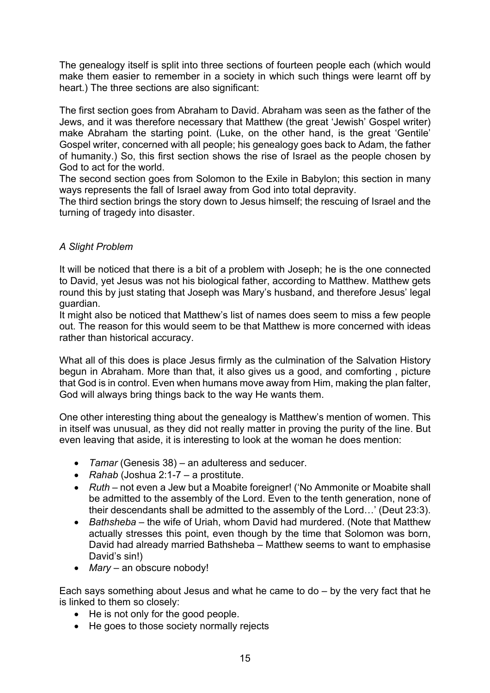The genealogy itself is split into three sections of fourteen people each (which would make them easier to remember in a society in which such things were learnt off by heart.) The three sections are also significant:

The first section goes from Abraham to David. Abraham was seen as the father of the Jews, and it was therefore necessary that Matthew (the great 'Jewish' Gospel writer) make Abraham the starting point. (Luke, on the other hand, is the great 'Gentile' Gospel writer, concerned with all people; his genealogy goes back to Adam, the father of humanity.) So, this first section shows the rise of Israel as the people chosen by God to act for the world.

The second section goes from Solomon to the Exile in Babylon; this section in many ways represents the fall of Israel away from God into total depravity.

The third section brings the story down to Jesus himself; the rescuing of Israel and the turning of tragedy into disaster.

## *A Slight Problem*

It will be noticed that there is a bit of a problem with Joseph; he is the one connected to David, yet Jesus was not his biological father, according to Matthew. Matthew gets round this by just stating that Joseph was Mary's husband, and therefore Jesus' legal guardian.

It might also be noticed that Matthew's list of names does seem to miss a few people out. The reason for this would seem to be that Matthew is more concerned with ideas rather than historical accuracy.

What all of this does is place Jesus firmly as the culmination of the Salvation History begun in Abraham. More than that, it also gives us a good, and comforting , picture that God is in control. Even when humans move away from Him, making the plan falter, God will always bring things back to the way He wants them.

One other interesting thing about the genealogy is Matthew's mention of women. This in itself was unusual, as they did not really matter in proving the purity of the line. But even leaving that aside, it is interesting to look at the woman he does mention:

- *Tamar* (Genesis 38) an adulteress and seducer.
- *Rahab* (Joshua 2:1-7 a prostitute.
- *Ruth* not even a Jew but a Moabite foreigner! ('No Ammonite or Moabite shall be admitted to the assembly of the Lord. Even to the tenth generation, none of their descendants shall be admitted to the assembly of the Lord…' (Deut 23:3).
- *Bathsheba*  the wife of Uriah, whom David had murdered. (Note that Matthew actually stresses this point, even though by the time that Solomon was born, David had already married Bathsheba – Matthew seems to want to emphasise David's sin!)
- *Mary* an obscure nobody!

Each says something about Jesus and what he came to do – by the very fact that he is linked to them so closely:

- He is not only for the good people.
- He goes to those society normally rejects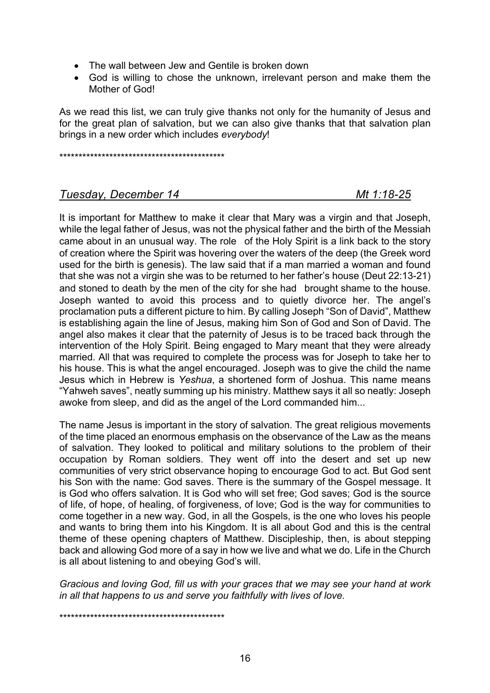- The wall between Jew and Gentile is broken down
- God is willing to chose the unknown, irrelevant person and make them the Mother of God!

As we read this list, we can truly give thanks not only for the humanity of Jesus and for the great plan of salvation, but we can also give thanks that that salvation plan brings in a new order which includes *everybody*!

\*\*\*\*\*\*\*\*\*\*\*\*\*\*\*\*\*\*\*\*\*\*\*\*\*\*\*\*\*\*\*\*\*\*\*\*\*\*\*\*\*\*\*

## *Tuesday, December 14 Mt 1:18-25*

It is important for Matthew to make it clear that Mary was a virgin and that Joseph, while the legal father of Jesus, was not the physical father and the birth of the Messiah came about in an unusual way. The role of the Holy Spirit is a link back to the story of creation where the Spirit was hovering over the waters of the deep (the Greek word used for the birth is genesis). The law said that if a man married a woman and found that she was not a virgin she was to be returned to her father's house (Deut 22:13-21) and stoned to death by the men of the city for she had brought shame to the house. Joseph wanted to avoid this process and to quietly divorce her. The angel's proclamation puts a different picture to him. By calling Joseph "Son of David", Matthew is establishing again the line of Jesus, making him Son of God and Son of David. The angel also makes it clear that the paternity of Jesus is to be traced back through the intervention of the Holy Spirit. Being engaged to Mary meant that they were already married. All that was required to complete the process was for Joseph to take her to his house. This is what the angel encouraged. Joseph was to give the child the name Jesus which in Hebrew is *Yeshua*, a shortened form of Joshua. This name means "Yahweh saves", neatly summing up his ministry. Matthew says it all so neatly: Joseph awoke from sleep, and did as the angel of the Lord commanded him...

The name Jesus is important in the story of salvation. The great religious movements of the time placed an enormous emphasis on the observance of the Law as the means of salvation. They looked to political and military solutions to the problem of their occupation by Roman soldiers. They went off into the desert and set up new communities of very strict observance hoping to encourage God to act. But God sent his Son with the name: God saves. There is the summary of the Gospel message. It is God who offers salvation. It is God who will set free; God saves; God is the source of life, of hope, of healing, of forgiveness, of love; God is the way for communities to come together in a new way. God, in all the Gospels, is the one who loves his people and wants to bring them into his Kingdom. It is all about God and this is the central theme of these opening chapters of Matthew. Discipleship, then, is about stepping back and allowing God more of a say in how we live and what we do. Life in the Church is all about listening to and obeying God's will.

*Gracious and loving God, fill us with your graces that we may see your hand at work in all that happens to us and serve you faithfully with lives of love.*

\*\*\*\*\*\*\*\*\*\*\*\*\*\*\*\*\*\*\*\*\*\*\*\*\*\*\*\*\*\*\*\*\*\*\*\*\*\*\*\*\*\*\*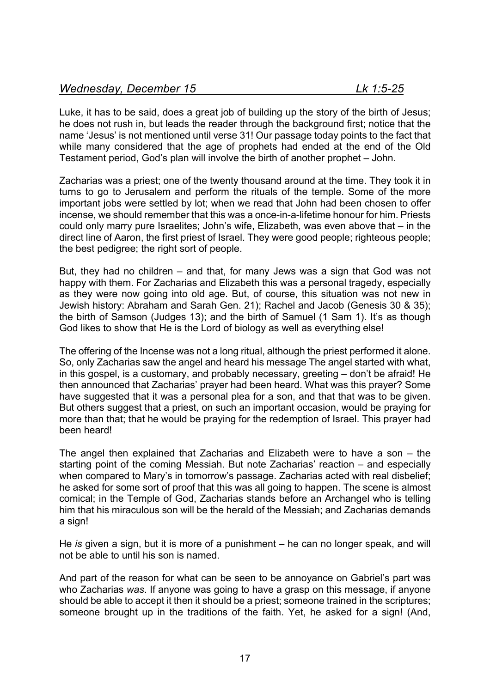Luke, it has to be said, does a great job of building up the story of the birth of Jesus; he does not rush in, but leads the reader through the background first; notice that the name 'Jesus' is not mentioned until verse 31! Our passage today points to the fact that while many considered that the age of prophets had ended at the end of the Old Testament period, God's plan will involve the birth of another prophet – John.

Zacharias was a priest; one of the twenty thousand around at the time. They took it in turns to go to Jerusalem and perform the rituals of the temple. Some of the more important jobs were settled by lot; when we read that John had been chosen to offer incense, we should remember that this was a once-in-a-lifetime honour for him. Priests could only marry pure Israelites; John's wife, Elizabeth, was even above that – in the direct line of Aaron, the first priest of Israel. They were good people; righteous people; the best pedigree; the right sort of people.

But, they had no children – and that, for many Jews was a sign that God was not happy with them. For Zacharias and Elizabeth this was a personal tragedy, especially as they were now going into old age. But, of course, this situation was not new in Jewish history: Abraham and Sarah Gen. 21); Rachel and Jacob (Genesis 30 & 35); the birth of Samson (Judges 13); and the birth of Samuel (1 Sam 1). It's as though God likes to show that He is the Lord of biology as well as everything else!

The offering of the Incense was not a long ritual, although the priest performed it alone. So, only Zacharias saw the angel and heard his message The angel started with what, in this gospel, is a customary, and probably necessary, greeting – don't be afraid! He then announced that Zacharias' prayer had been heard. What was this prayer? Some have suggested that it was a personal plea for a son, and that that was to be given. But others suggest that a priest, on such an important occasion, would be praying for more than that; that he would be praying for the redemption of Israel. This prayer had been heard!

The angel then explained that Zacharias and Elizabeth were to have a son – the starting point of the coming Messiah. But note Zacharias' reaction – and especially when compared to Mary's in tomorrow's passage. Zacharias acted with real disbelief; he asked for some sort of proof that this was all going to happen. The scene is almost comical; in the Temple of God, Zacharias stands before an Archangel who is telling him that his miraculous son will be the herald of the Messiah; and Zacharias demands a sign!

He *is* given a sign, but it is more of a punishment – he can no longer speak, and will not be able to until his son is named.

And part of the reason for what can be seen to be annoyance on Gabriel's part was who Zacharias *was*. If anyone was going to have a grasp on this message, if anyone should be able to accept it then it should be a priest; someone trained in the scriptures; someone brought up in the traditions of the faith. Yet, he asked for a sign! (And,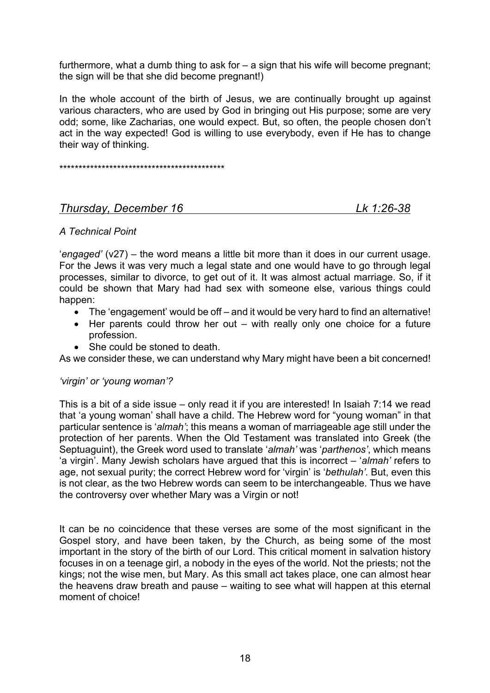furthermore, what a dumb thing to ask for – a sign that his wife will become pregnant; the sign will be that she did become pregnant!)

In the whole account of the birth of Jesus, we are continually brought up against various characters, who are used by God in bringing out His purpose; some are very odd; some, like Zacharias, one would expect. But, so often, the people chosen don't act in the way expected! God is willing to use everybody, even if He has to change their way of thinking.

\*\*\*\*\*\*\*\*\*\*\*\*\*\*\*\*\*\*\*\*\*\*\*\*\*\*\*\*\*\*\*\*\*\*\*\*\*\*\*\*\*\*\*

## *Thursday, December 16 Lk 1:26-38*

## *A Technical Point*

'*engaged'* (v27) – the word means a little bit more than it does in our current usage. For the Jews it was very much a legal state and one would have to go through legal processes, similar to divorce, to get out of it. It was almost actual marriage. So, if it could be shown that Mary had had sex with someone else, various things could happen:

- The 'engagement' would be off and it would be very hard to find an alternative!
- Her parents could throw her out with really only one choice for a future profession.
- She could be stoned to death.

As we consider these, we can understand why Mary might have been a bit concerned!

### *'virgin' or 'young woman'?*

This is a bit of a side issue – only read it if you are interested! In Isaiah 7:14 we read that 'a young woman' shall have a child. The Hebrew word for "young woman" in that particular sentence is '*almah'*; this means a woman of marriageable age still under the protection of her parents. When the Old Testament was translated into Greek (the Septuaguint), the Greek word used to translate '*almah'* was '*parthenos'*, which means 'a virgin'. Many Jewish scholars have argued that this is incorrect – '*almah'* refers to age, not sexual purity; the correct Hebrew word for 'virgin' is '*bethulah'.* But, even this is not clear, as the two Hebrew words can seem to be interchangeable. Thus we have the controversy over whether Mary was a Virgin or not!

It can be no coincidence that these verses are some of the most significant in the Gospel story, and have been taken, by the Church, as being some of the most important in the story of the birth of our Lord. This critical moment in salvation history focuses in on a teenage girl, a nobody in the eyes of the world. Not the priests; not the kings; not the wise men, but Mary. As this small act takes place, one can almost hear the heavens draw breath and pause – waiting to see what will happen at this eternal moment of choice!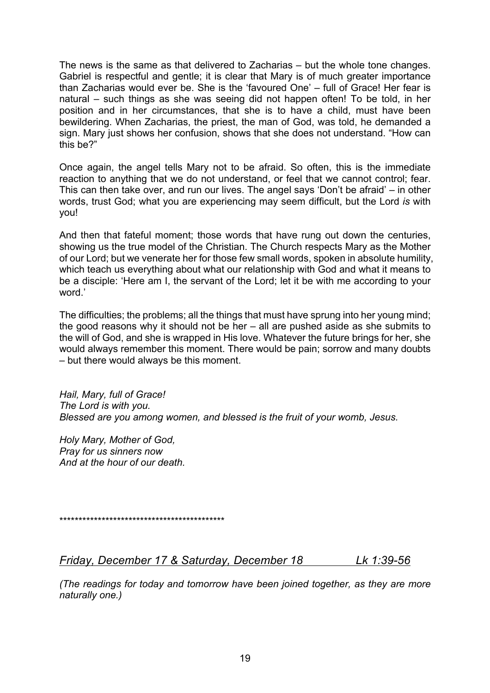The news is the same as that delivered to Zacharias – but the whole tone changes. Gabriel is respectful and gentle; it is clear that Mary is of much greater importance than Zacharias would ever be. She is the 'favoured One' – full of Grace! Her fear is natural – such things as she was seeing did not happen often! To be told, in her position and in her circumstances, that she is to have a child, must have been bewildering. When Zacharias, the priest, the man of God, was told, he demanded a sign. Mary just shows her confusion, shows that she does not understand. "How can this be?"

Once again, the angel tells Mary not to be afraid. So often, this is the immediate reaction to anything that we do not understand, or feel that we cannot control; fear. This can then take over, and run our lives. The angel says 'Don't be afraid' – in other words, trust God; what you are experiencing may seem difficult, but the Lord *is* with you!

And then that fateful moment; those words that have rung out down the centuries, showing us the true model of the Christian. The Church respects Mary as the Mother of our Lord; but we venerate her for those few small words, spoken in absolute humility, which teach us everything about what our relationship with God and what it means to be a disciple: 'Here am I, the servant of the Lord; let it be with me according to your word.'

The difficulties; the problems; all the things that must have sprung into her young mind; the good reasons why it should not be her – all are pushed aside as she submits to the will of God, and she is wrapped in His love. Whatever the future brings for her, she would always remember this moment. There would be pain; sorrow and many doubts – but there would always be this moment.

*Hail, Mary, full of Grace! The Lord is with you. Blessed are you among women, and blessed is the fruit of your womb, Jesus.*

*Holy Mary, Mother of God, Pray for us sinners now And at the hour of our death.*

\*\*\*\*\*\*\*\*\*\*\*\*\*\*\*\*\*\*\*\*\*\*\*\*\*\*\*\*\*\*\*\*\*\*\*\*\*\*\*\*\*\*\*

*Friday, December 17 & Saturday, December 18 Lk 1:39-56*

*(The readings for today and tomorrow have been joined together, as they are more naturally one.)*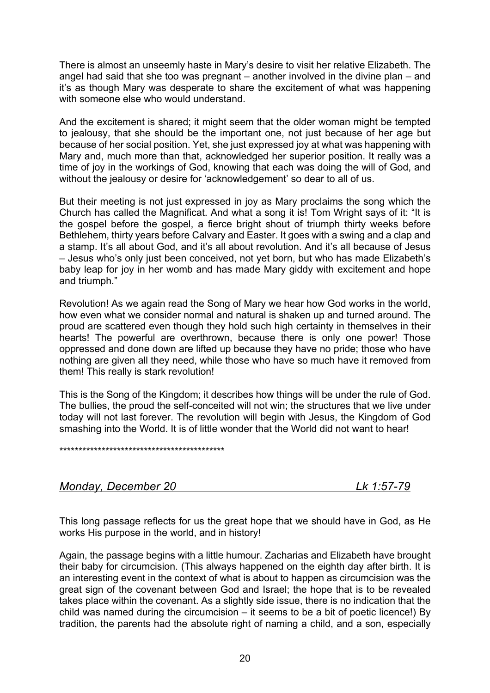There is almost an unseemly haste in Mary's desire to visit her relative Elizabeth. The angel had said that she too was pregnant – another involved in the divine plan – and it's as though Mary was desperate to share the excitement of what was happening with someone else who would understand.

And the excitement is shared; it might seem that the older woman might be tempted to jealousy, that she should be the important one, not just because of her age but because of her social position. Yet, she just expressed joy at what was happening with Mary and, much more than that, acknowledged her superior position. It really was a time of joy in the workings of God, knowing that each was doing the will of God, and without the jealousy or desire for 'acknowledgement' so dear to all of us.

But their meeting is not just expressed in joy as Mary proclaims the song which the Church has called the Magnificat. And what a song it is! Tom Wright says of it: "It is the gospel before the gospel, a fierce bright shout of triumph thirty weeks before Bethlehem, thirty years before Calvary and Easter. It goes with a swing and a clap and a stamp. It's all about God, and it's all about revolution. And it's all because of Jesus – Jesus who's only just been conceived, not yet born, but who has made Elizabeth's baby leap for joy in her womb and has made Mary giddy with excitement and hope and triumph."

Revolution! As we again read the Song of Mary we hear how God works in the world, how even what we consider normal and natural is shaken up and turned around. The proud are scattered even though they hold such high certainty in themselves in their hearts! The powerful are overthrown, because there is only one power! Those oppressed and done down are lifted up because they have no pride; those who have nothing are given all they need, while those who have so much have it removed from them! This really is stark revolution!

This is the Song of the Kingdom; it describes how things will be under the rule of God. The bullies, the proud the self-conceited will not win; the structures that we live under today will not last forever. The revolution will begin with Jesus, the Kingdom of God smashing into the World. It is of little wonder that the World did not want to hear!

\*\*\*\*\*\*\*\*\*\*\*\*\*\*\*\*\*\*\*\*\*\*\*\*\*\*\*\*\*\*\*\*\*\*\*\*\*\*\*\*\*\*\*

*Monday, December 20 Lk 1:57-79*

This long passage reflects for us the great hope that we should have in God, as He works His purpose in the world, and in history!

Again, the passage begins with a little humour. Zacharias and Elizabeth have brought their baby for circumcision. (This always happened on the eighth day after birth. It is an interesting event in the context of what is about to happen as circumcision was the great sign of the covenant between God and Israel; the hope that is to be revealed takes place within the covenant. As a slightly side issue, there is no indication that the child was named during the circumcision – it seems to be a bit of poetic licence!) By tradition, the parents had the absolute right of naming a child, and a son, especially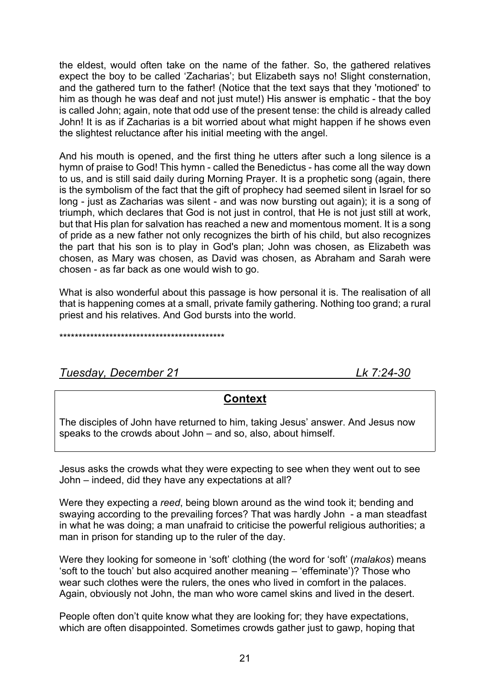the eldest, would often take on the name of the father. So, the gathered relatives expect the boy to be called 'Zacharias'; but Elizabeth says no! Slight consternation, and the gathered turn to the father! (Notice that the text says that they 'motioned' to him as though he was deaf and not just mute!) His answer is emphatic - that the boy is called John; again, note that odd use of the present tense: the child is already called John! It is as if Zacharias is a bit worried about what might happen if he shows even the slightest reluctance after his initial meeting with the angel.

And his mouth is opened, and the first thing he utters after such a long silence is a hymn of praise to God! This hymn - called the Benedictus - has come all the way down to us, and is still said daily during Morning Prayer. It is a prophetic song (again, there is the symbolism of the fact that the gift of prophecy had seemed silent in Israel for so long - just as Zacharias was silent - and was now bursting out again); it is a song of triumph, which declares that God is not just in control, that He is not just still at work, but that His plan for salvation has reached a new and momentous moment. It is a song of pride as a new father not only recognizes the birth of his child, but also recognizes the part that his son is to play in God's plan; John was chosen, as Elizabeth was chosen, as Mary was chosen, as David was chosen, as Abraham and Sarah were chosen - as far back as one would wish to go.

What is also wonderful about this passage is how personal it is. The realisation of all that is happening comes at a small, private family gathering. Nothing too grand; a rural priest and his relatives. And God bursts into the world.

\*\*\*\*\*\*\*\*\*\*\*\*\*\*\*\*\*\*\*\*\*\*\*\*\*\*\*\*\*\*\*\*\*\*\*\*\*\*\*\*\*\*\*

*Tuesday, December 21 Lk 7:24-30*

## **Context**

The disciples of John have returned to him, taking Jesus' answer. And Jesus now speaks to the crowds about John – and so, also, about himself.

Jesus asks the crowds what they were expecting to see when they went out to see John – indeed, did they have any expectations at all?

Were they expecting a *reed*, being blown around as the wind took it; bending and swaying according to the prevailing forces? That was hardly John - a man steadfast in what he was doing; a man unafraid to criticise the powerful religious authorities; a man in prison for standing up to the ruler of the day.

Were they looking for someone in 'soft' clothing (the word for 'soft' (*malakos*) means 'soft to the touch' but also acquired another meaning – 'effeminate')? Those who wear such clothes were the rulers, the ones who lived in comfort in the palaces. Again, obviously not John, the man who wore camel skins and lived in the desert.

People often don't quite know what they are looking for; they have expectations, which are often disappointed. Sometimes crowds gather just to gawp, hoping that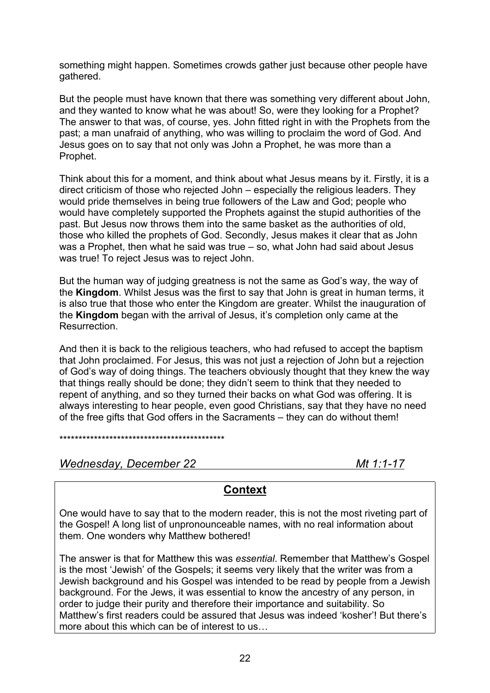something might happen. Sometimes crowds gather just because other people have gathered.

But the people must have known that there was something very different about John, and they wanted to know what he was about! So, were they looking for a Prophet? The answer to that was, of course, yes. John fitted right in with the Prophets from the past; a man unafraid of anything, who was willing to proclaim the word of God. And Jesus goes on to say that not only was John a Prophet, he was more than a Prophet.

Think about this for a moment, and think about what Jesus means by it. Firstly, it is a direct criticism of those who rejected John – especially the religious leaders. They would pride themselves in being true followers of the Law and God; people who would have completely supported the Prophets against the stupid authorities of the past. But Jesus now throws them into the same basket as the authorities of old, those who killed the prophets of God. Secondly, Jesus makes it clear that as John was a Prophet, then what he said was true – so, what John had said about Jesus was true! To reject Jesus was to reject John.

But the human way of judging greatness is not the same as God's way, the way of the **Kingdom**. Whilst Jesus was the first to say that John is great in human terms, it is also true that those who enter the Kingdom are greater. Whilst the inauguration of the **Kingdom** began with the arrival of Jesus, it's completion only came at the Resurrection.

And then it is back to the religious teachers, who had refused to accept the baptism that John proclaimed. For Jesus, this was not just a rejection of John but a rejection of God's way of doing things. The teachers obviously thought that they knew the way that things really should be done; they didn't seem to think that they needed to repent of anything, and so they turned their backs on what God was offering. It is always interesting to hear people, even good Christians, say that they have no need of the free gifts that God offers in the Sacraments – they can do without them!

\*\*\*\*\*\*\*\*\*\*\*\*\*\*\*\*\*\*\*\*\*\*\*\*\*\*\*\*\*\*\*\*\*\*\*\*\*\*\*\*\*\*\*

*Wednesday, December 22 Mt 1:1-17*

## **Context**

One would have to say that to the modern reader, this is not the most riveting part of the Gospel! A long list of unpronounceable names, with no real information about them. One wonders why Matthew bothered!

The answer is that for Matthew this was *essential*. Remember that Matthew's Gospel is the most 'Jewish' of the Gospels; it seems very likely that the writer was from a Jewish background and his Gospel was intended to be read by people from a Jewish background. For the Jews, it was essential to know the ancestry of any person, in order to judge their purity and therefore their importance and suitability. So Matthew's first readers could be assured that Jesus was indeed 'kosher'! But there's more about this which can be of interest to us…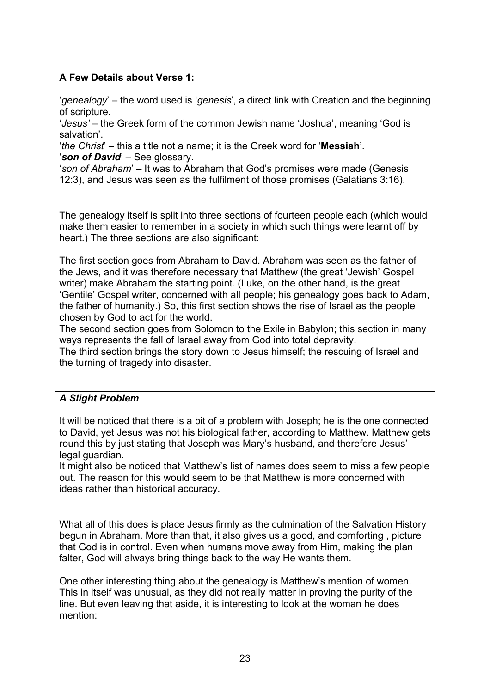## **A Few Details about Verse 1:**

'*genealogy*' – the word used is '*genesis*', a direct link with Creation and the beginning of scripture.

'*Jesus'* – the Greek form of the common Jewish name 'Joshua', meaning 'God is salvation'.

'*the Christ*' – this a title not a name; it is the Greek word for '**Messiah**'. '*son of David*' – See glossary.

'*son of Abraham*' – It was to Abraham that God's promises were made (Genesis 12:3), and Jesus was seen as the fulfilment of those promises (Galatians 3:16).

The genealogy itself is split into three sections of fourteen people each (which would make them easier to remember in a society in which such things were learnt off by heart.) The three sections are also significant:

The first section goes from Abraham to David. Abraham was seen as the father of the Jews, and it was therefore necessary that Matthew (the great 'Jewish' Gospel writer) make Abraham the starting point. (Luke, on the other hand, is the great 'Gentile' Gospel writer, concerned with all people; his genealogy goes back to Adam, the father of humanity.) So, this first section shows the rise of Israel as the people chosen by God to act for the world.

The second section goes from Solomon to the Exile in Babylon; this section in many ways represents the fall of Israel away from God into total depravity.

The third section brings the story down to Jesus himself; the rescuing of Israel and the turning of tragedy into disaster.

### *A Slight Problem*

It will be noticed that there is a bit of a problem with Joseph; he is the one connected to David, yet Jesus was not his biological father, according to Matthew. Matthew gets round this by just stating that Joseph was Mary's husband, and therefore Jesus' legal guardian.

It might also be noticed that Matthew's list of names does seem to miss a few people out. The reason for this would seem to be that Matthew is more concerned with ideas rather than historical accuracy.

What all of this does is place Jesus firmly as the culmination of the Salvation History begun in Abraham. More than that, it also gives us a good, and comforting , picture that God is in control. Even when humans move away from Him, making the plan falter, God will always bring things back to the way He wants them.

One other interesting thing about the genealogy is Matthew's mention of women. This in itself was unusual, as they did not really matter in proving the purity of the line. But even leaving that aside, it is interesting to look at the woman he does mention: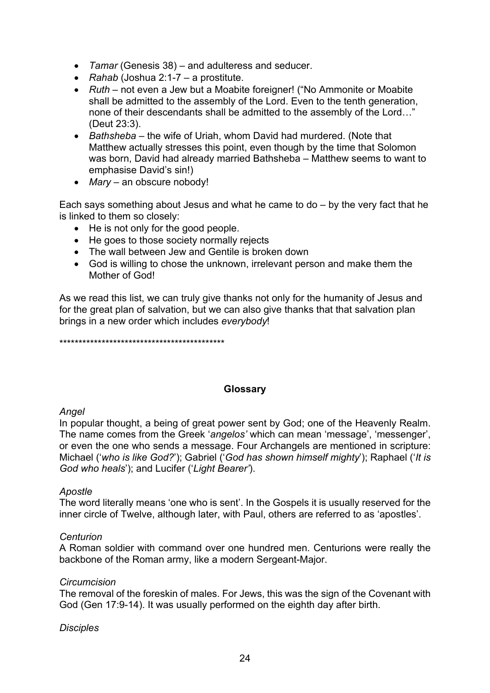- *Tamar* (Genesis 38) and adulteress and seducer.
- *Rahab* (Joshua 2:1-7 a prostitute.
- *Ruth* not even a Jew but a Moabite foreigner! ("No Ammonite or Moabite shall be admitted to the assembly of the Lord. Even to the tenth generation, none of their descendants shall be admitted to the assembly of the Lord…" (Deut 23:3).
- *Bathsheba*  the wife of Uriah, whom David had murdered. (Note that Matthew actually stresses this point, even though by the time that Solomon was born, David had already married Bathsheba – Matthew seems to want to emphasise David's sin!)
- *Mary* an obscure nobody!

Each says something about Jesus and what he came to do – by the very fact that he is linked to them so closely:

- He is not only for the good people.
- He goes to those society normally rejects
- The wall between Jew and Gentile is broken down
- God is willing to chose the unknown, irrelevant person and make them the Mother of God!

As we read this list, we can truly give thanks not only for the humanity of Jesus and for the great plan of salvation, but we can also give thanks that that salvation plan brings in a new order which includes *everybody*!

\*\*\*\*\*\*\*\*\*\*\*\*\*\*\*\*\*\*\*\*\*\*\*\*\*\*\*\*\*\*\*\*\*\*\*\*\*\*\*\*\*\*\*

### **Glossary**

### *Angel*

In popular thought, a being of great power sent by God; one of the Heavenly Realm. The name comes from the Greek '*angelos'* which can mean 'message', 'messenger', or even the one who sends a message. Four Archangels are mentioned in scripture: Michael ('*who is like God?*'); Gabriel ('*God has shown himself mighty*'); Raphael ('*It is God who heals*'); and Lucifer ('*Light Bearer'*).

### *Apostle*

The word literally means 'one who is sent'. In the Gospels it is usually reserved for the inner circle of Twelve, although later, with Paul, others are referred to as 'apostles'.

### *Centurion*

A Roman soldier with command over one hundred men. Centurions were really the backbone of the Roman army, like a modern Sergeant-Major.

### *Circumcision*

The removal of the foreskin of males. For Jews, this was the sign of the Covenant with God (Gen 17:9-14). It was usually performed on the eighth day after birth.

### *Disciples*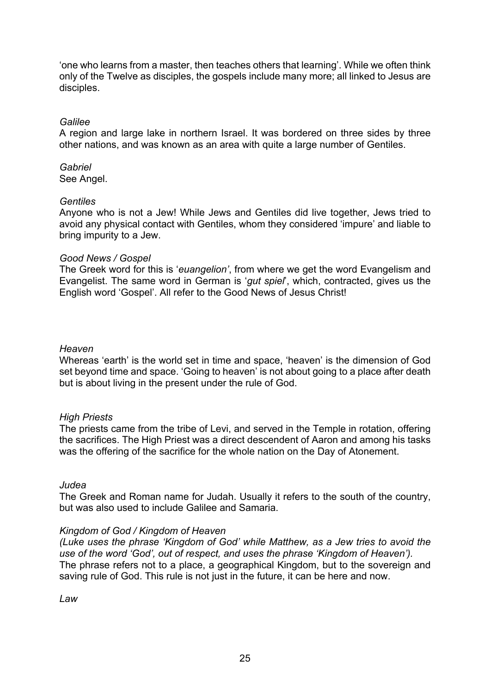'one who learns from a master, then teaches others that learning'. While we often think only of the Twelve as disciples, the gospels include many more; all linked to Jesus are disciples.

### *Galilee*

A region and large lake in northern Israel. It was bordered on three sides by three other nations, and was known as an area with quite a large number of Gentiles.

## *Gabriel*

See Angel.

### *Gentiles*

Anyone who is not a Jew! While Jews and Gentiles did live together, Jews tried to avoid any physical contact with Gentiles, whom they considered 'impure' and liable to bring impurity to a Jew.

### *Good News / Gospel*

The Greek word for this is '*euangelion'*, from where we get the word Evangelism and Evangelist. The same word in German is '*gut spiel*', which, contracted, gives us the English word 'Gospel'. All refer to the Good News of Jesus Christ!

### *Heaven*

Whereas 'earth' is the world set in time and space, 'heaven' is the dimension of God set beyond time and space. 'Going to heaven' is not about going to a place after death but is about living in the present under the rule of God.

### *High Priests*

The priests came from the tribe of Levi, and served in the Temple in rotation, offering the sacrifices. The High Priest was a direct descendent of Aaron and among his tasks was the offering of the sacrifice for the whole nation on the Day of Atonement.

### *Judea*

The Greek and Roman name for Judah. Usually it refers to the south of the country, but was also used to include Galilee and Samaria.

### *Kingdom of God / Kingdom of Heaven*

*(Luke uses the phrase 'Kingdom of God' while Matthew, as a Jew tries to avoid the use of the word 'God', out of respect, and uses the phrase 'Kingdom of Heaven').* The phrase refers not to a place, a geographical Kingdom, but to the sovereign and saving rule of God. This rule is not just in the future, it can be here and now.

*Law*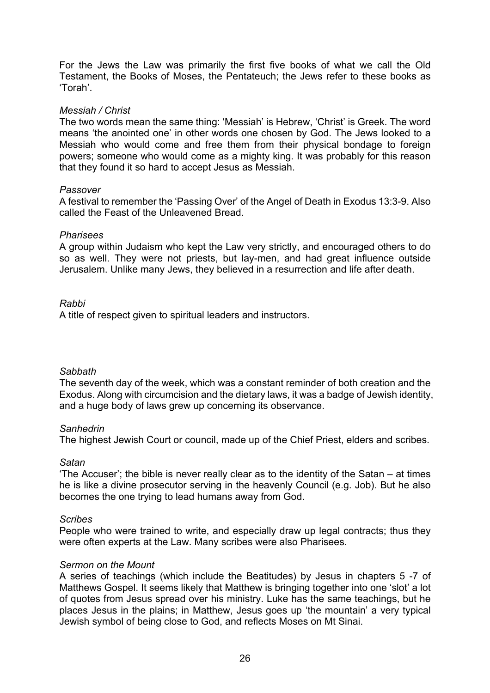For the Jews the Law was primarily the first five books of what we call the Old Testament, the Books of Moses, the Pentateuch; the Jews refer to these books as 'Torah'.

### *Messiah / Christ*

The two words mean the same thing: 'Messiah' is Hebrew, 'Christ' is Greek. The word means 'the anointed one' in other words one chosen by God. The Jews looked to a Messiah who would come and free them from their physical bondage to foreign powers; someone who would come as a mighty king. It was probably for this reason that they found it so hard to accept Jesus as Messiah.

### *Passover*

A festival to remember the 'Passing Over' of the Angel of Death in Exodus 13:3-9. Also called the Feast of the Unleavened Bread.

### *Pharisees*

A group within Judaism who kept the Law very strictly, and encouraged others to do so as well. They were not priests, but lay-men, and had great influence outside Jerusalem. Unlike many Jews, they believed in a resurrection and life after death.

### *Rabbi*

A title of respect given to spiritual leaders and instructors.

### *Sabbath*

The seventh day of the week, which was a constant reminder of both creation and the Exodus. Along with circumcision and the dietary laws, it was a badge of Jewish identity, and a huge body of laws grew up concerning its observance.

### *Sanhedrin*

The highest Jewish Court or council, made up of the Chief Priest, elders and scribes.

### *Satan*

'The Accuser'; the bible is never really clear as to the identity of the Satan – at times he is like a divine prosecutor serving in the heavenly Council (e.g. Job). But he also becomes the one trying to lead humans away from God.

### *Scribes*

People who were trained to write, and especially draw up legal contracts; thus they were often experts at the Law. Many scribes were also Pharisees.

### *Sermon on the Mount*

A series of teachings (which include the Beatitudes) by Jesus in chapters 5 -7 of Matthews Gospel. It seems likely that Matthew is bringing together into one 'slot' a lot of quotes from Jesus spread over his ministry. Luke has the same teachings, but he places Jesus in the plains; in Matthew, Jesus goes up 'the mountain' a very typical Jewish symbol of being close to God, and reflects Moses on Mt Sinai.